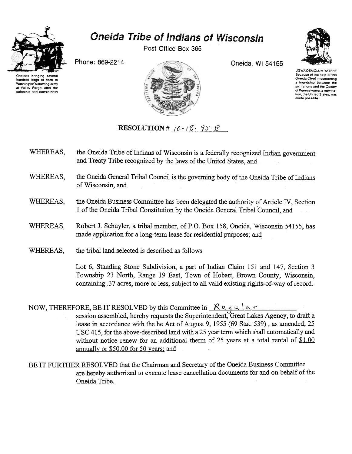

## Oneida Tribe of Indians of Wisconsin

Post Office Box 365

Oneidas bringing severa hundred bags of corn 10 Washington's starving army at Valley Forge. after the colonists had consistently



UGWA DEMOLUM YATEHE Because of the help of this Oneida Chief in cementing a Iriendship between the six nations and the Colony 01 Pennsylvama. a new nalion. the Uruted Slates. was made possoble

## RESOLUTION #  $i0 - 15 - 75 - 15$

- WHEREAS, the Oneida Tribe of Indians of Wisconsin is a federally recognized Indian government and Treaty Tribe recognized by the laws of the United States, and
- WHEREAS, the Oneida General Tribal Council is the governing body of the Oneida Tribe of Indians of Wisconsin, and
- WHEREAS, the Oneida Business Committee has been delegated the authority of Article IV, Section 1 of the Oneida Tribal Constitution by the Oneida General Tribal Council, and
- WHEREAS Robert J. Schuyler, a tribal member, of P.O. Box 158, Oneida, Wisconsin 54155, has made application for along-term lease for residential purposes; and
- WHEREAS, the tribal land selected is described as follows

Lot 6, Standing Stone Subdivision, a part of Indian Claim 151 and 147, Section 3 Township 23 North, Range 19 East, Town of Hobart, Brown County, Wisconsin, containing .37 acres, more or less, subject to all valid existing rights~of-way of record.

NOW, THEREFORE, BE IT RESOLVED by this Committee in  $\mathcal{R}$  equals session assembled, hereby requests the Superintendent, Great Lakes Agency, to draft a lease in accordance with the he Act of August 9, 1955 (69 Stat. 539), as amended, 25 USC 415, for the above-described land with a 25 year tenn which shall automatically and without notice renew for an additional therm of 25 years at a total rental of  $$1.00$ annually or \$50.00 for 50 years: and

BE IT FURTHER RESOLVED that the Chairman and Secretary of the Oneida Business Committee are hereby authorized to execute lease cancellation documents for and on behalf of the Oneida Tribe.